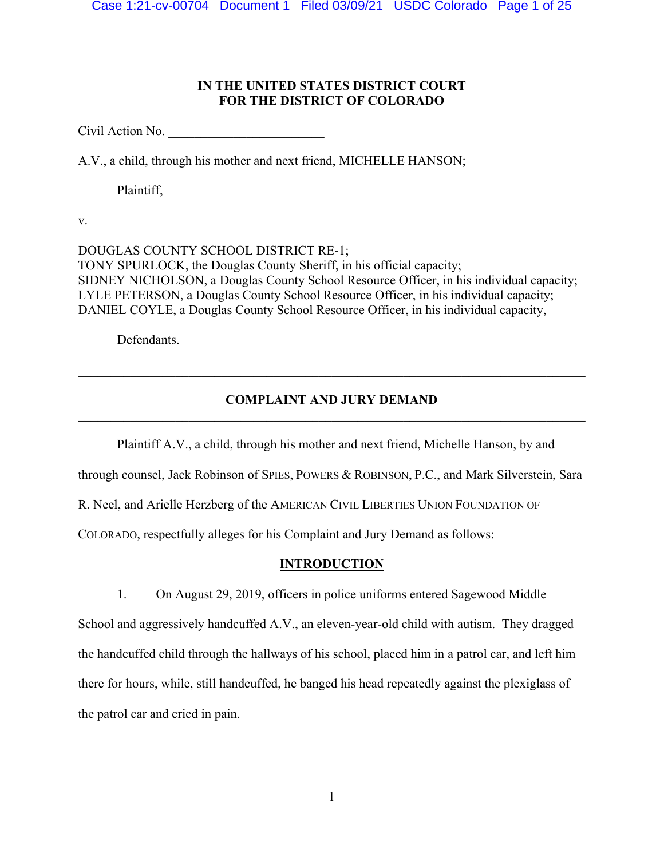# **IN THE UNITED STATES DISTRICT COURT FOR THE DISTRICT OF COLORADO**

Civil Action No.

A.V., a child, through his mother and next friend, MICHELLE HANSON;

Plaintiff,

v.

DOUGLAS COUNTY SCHOOL DISTRICT RE-1; TONY SPURLOCK, the Douglas County Sheriff, in his official capacity; SIDNEY NICHOLSON, a Douglas County School Resource Officer, in his individual capacity; LYLE PETERSON, a Douglas County School Resource Officer, in his individual capacity; DANIEL COYLE, a Douglas County School Resource Officer, in his individual capacity,

Defendants.

# **COMPLAINT AND JURY DEMAND**

Plaintiff A.V., a child, through his mother and next friend, Michelle Hanson, by and through counsel, Jack Robinson of SPIES, POWERS & ROBINSON, P.C., and Mark Silverstein, Sara R. Neel, and Arielle Herzberg of the AMERICAN CIVIL LIBERTIES UNION FOUNDATION OF COLORADO, respectfully alleges for his Complaint and Jury Demand as follows:

# **INTRODUCTION**

1. On August 29, 2019, officers in police uniforms entered Sagewood Middle School and aggressively handcuffed A.V., an eleven-year-old child with autism. They dragged the handcuffed child through the hallways of his school, placed him in a patrol car, and left him there for hours, while, still handcuffed, he banged his head repeatedly against the plexiglass of the patrol car and cried in pain.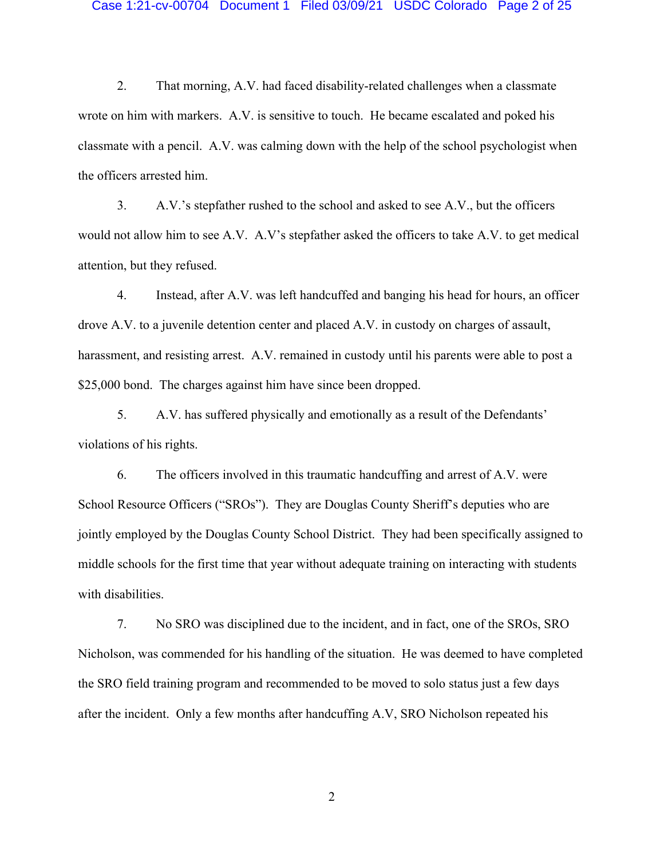#### Case 1:21-cv-00704 Document 1 Filed 03/09/21 USDC Colorado Page 2 of 25

2. That morning, A.V. had faced disability-related challenges when a classmate wrote on him with markers. A.V. is sensitive to touch. He became escalated and poked his classmate with a pencil. A.V. was calming down with the help of the school psychologist when the officers arrested him.

3. A.V.'s stepfather rushed to the school and asked to see A.V., but the officers would not allow him to see A.V. A.V's stepfather asked the officers to take A.V. to get medical attention, but they refused.

4. Instead, after A.V. was left handcuffed and banging his head for hours, an officer drove A.V. to a juvenile detention center and placed A.V. in custody on charges of assault, harassment, and resisting arrest. A.V. remained in custody until his parents were able to post a \$25,000 bond. The charges against him have since been dropped.

5. A.V. has suffered physically and emotionally as a result of the Defendants' violations of his rights.

6. The officers involved in this traumatic handcuffing and arrest of A.V. were School Resource Officers ("SROs"). They are Douglas County Sheriff's deputies who are jointly employed by the Douglas County School District. They had been specifically assigned to middle schools for the first time that year without adequate training on interacting with students with disabilities.

7. No SRO was disciplined due to the incident, and in fact, one of the SROs, SRO Nicholson, was commended for his handling of the situation. He was deemed to have completed the SRO field training program and recommended to be moved to solo status just a few days after the incident. Only a few months after handcuffing A.V, SRO Nicholson repeated his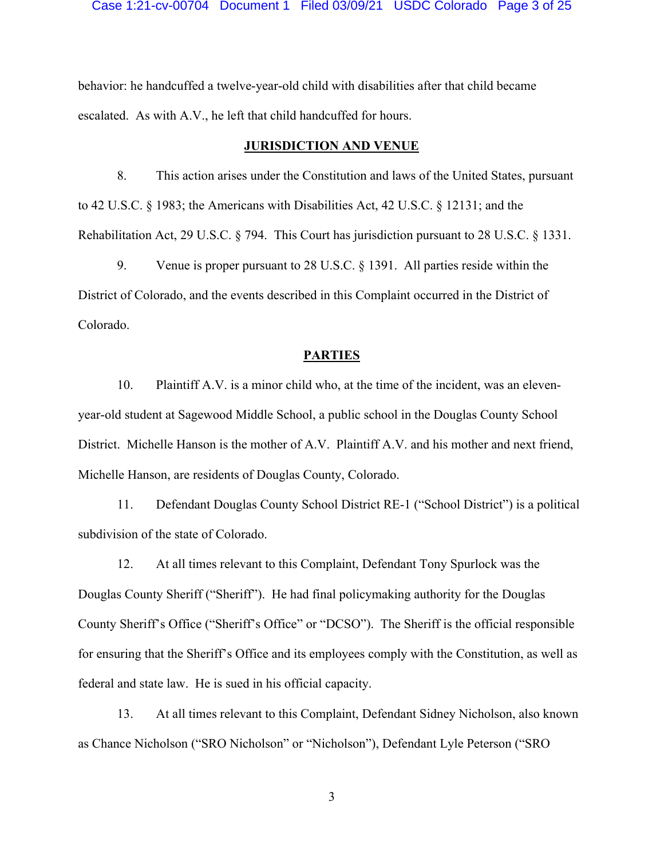behavior: he handcuffed a twelve-year-old child with disabilities after that child became escalated. As with A.V., he left that child handcuffed for hours.

### **JURISDICTION AND VENUE**

8. This action arises under the Constitution and laws of the United States, pursuant to 42 U.S.C. § 1983; the Americans with Disabilities Act, 42 U.S.C. § 12131; and the Rehabilitation Act, 29 U.S.C. § 794. This Court has jurisdiction pursuant to 28 U.S.C. § 1331.

9. Venue is proper pursuant to 28 U.S.C. § 1391. All parties reside within the District of Colorado, and the events described in this Complaint occurred in the District of Colorado.

### **PARTIES**

10. Plaintiff A.V. is a minor child who, at the time of the incident, was an elevenyear-old student at Sagewood Middle School, a public school in the Douglas County School District. Michelle Hanson is the mother of A.V. Plaintiff A.V. and his mother and next friend, Michelle Hanson, are residents of Douglas County, Colorado.

11. Defendant Douglas County School District RE-1 ("School District") is a political subdivision of the state of Colorado.

12. At all times relevant to this Complaint, Defendant Tony Spurlock was the Douglas County Sheriff ("Sheriff"). He had final policymaking authority for the Douglas County Sheriff's Office ("Sheriff's Office" or "DCSO"). The Sheriff is the official responsible for ensuring that the Sheriff's Office and its employees comply with the Constitution, as well as federal and state law. He is sued in his official capacity.

13. At all times relevant to this Complaint, Defendant Sidney Nicholson, also known as Chance Nicholson ("SRO Nicholson" or "Nicholson"), Defendant Lyle Peterson ("SRO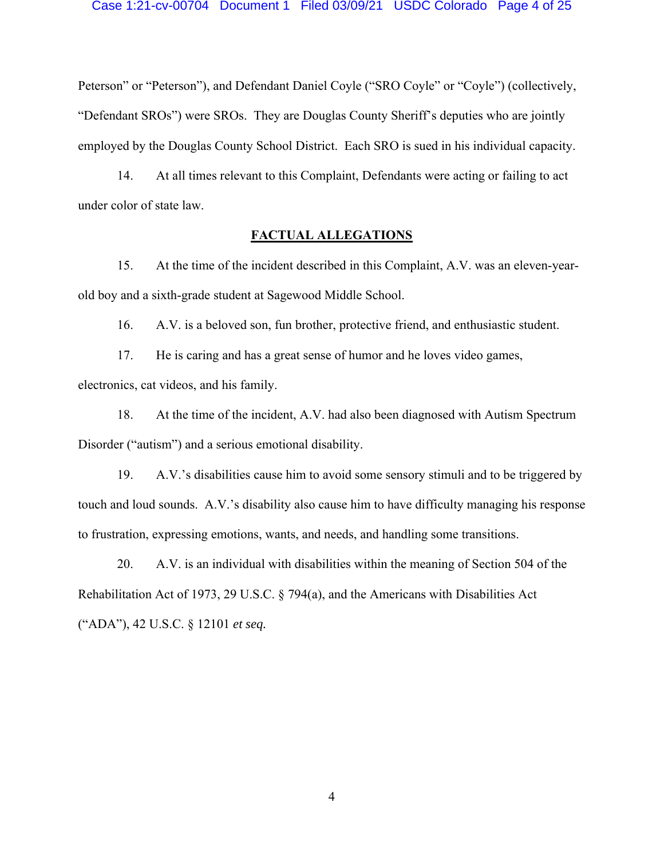Peterson" or "Peterson"), and Defendant Daniel Coyle ("SRO Coyle" or "Coyle") (collectively, "Defendant SROs") were SROs. They are Douglas County Sheriff's deputies who are jointly employed by the Douglas County School District. Each SRO is sued in his individual capacity.

14. At all times relevant to this Complaint, Defendants were acting or failing to act under color of state law.

# **FACTUAL ALLEGATIONS**

15. At the time of the incident described in this Complaint, A.V. was an eleven-yearold boy and a sixth-grade student at Sagewood Middle School.

16. A.V. is a beloved son, fun brother, protective friend, and enthusiastic student.

17. He is caring and has a great sense of humor and he loves video games, electronics, cat videos, and his family.

18. At the time of the incident, A.V. had also been diagnosed with Autism Spectrum Disorder ("autism") and a serious emotional disability.

19. A.V.'s disabilities cause him to avoid some sensory stimuli and to be triggered by touch and loud sounds. A.V.'s disability also cause him to have difficulty managing his response to frustration, expressing emotions, wants, and needs, and handling some transitions.

20. A.V. is an individual with disabilities within the meaning of Section 504 of the Rehabilitation Act of 1973, 29 U.S.C. § 794(a), and the Americans with Disabilities Act ("ADA"), 42 U.S.C. § 12101 *et seq.*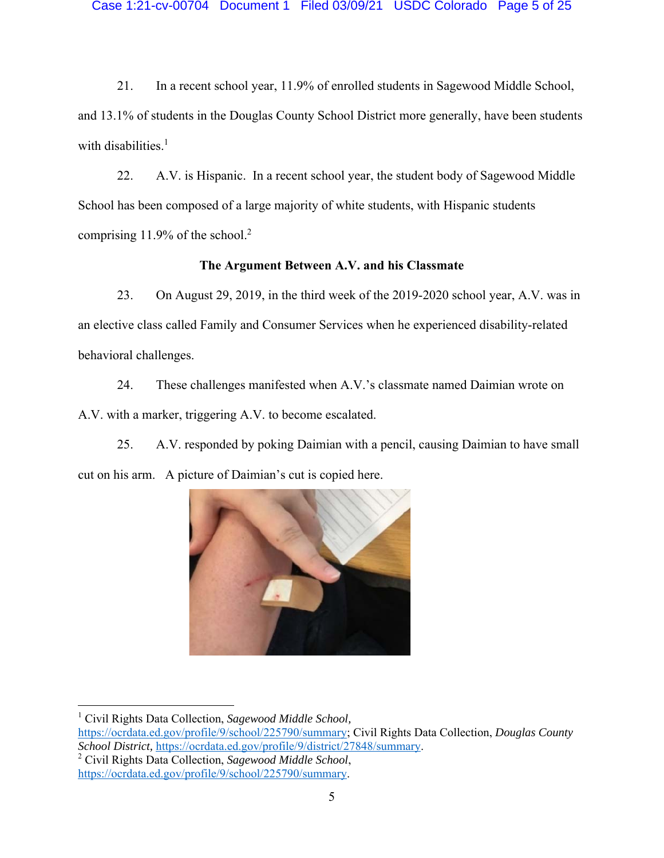21. In a recent school year, 11.9% of enrolled students in Sagewood Middle School, and 13.1% of students in the Douglas County School District more generally, have been students with disabilities.<sup>1</sup>

22. A.V. is Hispanic. In a recent school year, the student body of Sagewood Middle School has been composed of a large majority of white students, with Hispanic students comprising 11.9% of the school.<sup>2</sup>

# **The Argument Between A.V. and his Classmate**

23. On August 29, 2019, in the third week of the 2019-2020 school year, A.V. was in an elective class called Family and Consumer Services when he experienced disability-related behavioral challenges.

24. These challenges manifested when A.V.'s classmate named Daimian wrote on A.V. with a marker, triggering A.V. to become escalated.

25. A.V. responded by poking Daimian with a pencil, causing Daimian to have small cut on his arm. A picture of Daimian's cut is copied here.



1 Civil Rights Data Collection, *Sagewood Middle School,*  https://ocrdata.ed.gov/profile/9/school/225790/summary; Civil Rights Data Collection, *Douglas County School District,* https://ocrdata.ed.gov/profile/9/district/27848/summary. 2 Civil Rights Data Collection, *Sagewood Middle School*, https://ocrdata.ed.gov/profile/9/school/225790/summary.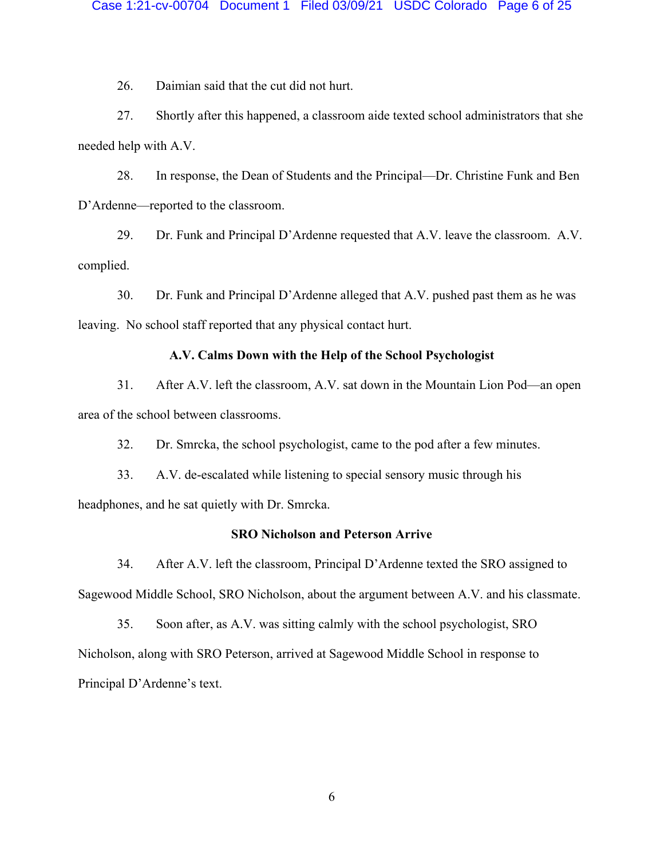26. Daimian said that the cut did not hurt.

27. Shortly after this happened, a classroom aide texted school administrators that she needed help with A.V.

28. In response, the Dean of Students and the Principal—Dr. Christine Funk and Ben D'Ardenne—reported to the classroom.

29. Dr. Funk and Principal D'Ardenne requested that A.V. leave the classroom. A.V. complied.

30. Dr. Funk and Principal D'Ardenne alleged that A.V. pushed past them as he was leaving. No school staff reported that any physical contact hurt.

# **A.V. Calms Down with the Help of the School Psychologist**

31. After A.V. left the classroom, A.V. sat down in the Mountain Lion Pod—an open area of the school between classrooms.

32. Dr. Smrcka, the school psychologist, came to the pod after a few minutes.

33. A.V. de-escalated while listening to special sensory music through his

headphones, and he sat quietly with Dr. Smrcka.

### **SRO Nicholson and Peterson Arrive**

34. After A.V. left the classroom, Principal D'Ardenne texted the SRO assigned to Sagewood Middle School, SRO Nicholson, about the argument between A.V. and his classmate.

35. Soon after, as A.V. was sitting calmly with the school psychologist, SRO Nicholson, along with SRO Peterson, arrived at Sagewood Middle School in response to Principal D'Ardenne's text.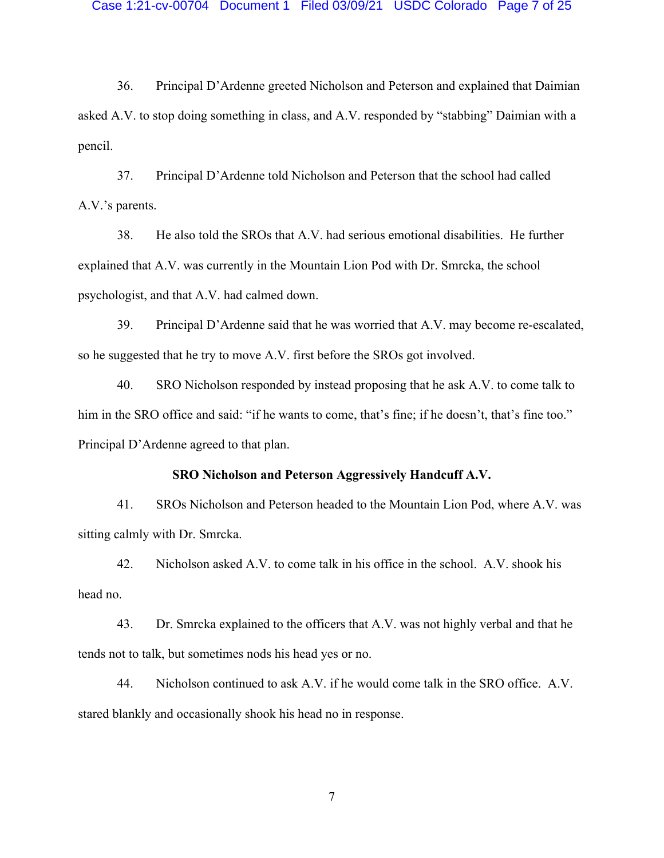36. Principal D'Ardenne greeted Nicholson and Peterson and explained that Daimian asked A.V. to stop doing something in class, and A.V. responded by "stabbing" Daimian with a pencil.

37. Principal D'Ardenne told Nicholson and Peterson that the school had called A.V.'s parents.

38. He also told the SROs that A.V. had serious emotional disabilities. He further explained that A.V. was currently in the Mountain Lion Pod with Dr. Smrcka, the school psychologist, and that A.V. had calmed down.

39. Principal D'Ardenne said that he was worried that A.V. may become re-escalated, so he suggested that he try to move A.V. first before the SROs got involved.

40. SRO Nicholson responded by instead proposing that he ask A.V. to come talk to him in the SRO office and said: "if he wants to come, that's fine; if he doesn't, that's fine too." Principal D'Ardenne agreed to that plan.

# **SRO Nicholson and Peterson Aggressively Handcuff A.V.**

41. SROs Nicholson and Peterson headed to the Mountain Lion Pod, where A.V. was sitting calmly with Dr. Smrcka.

42. Nicholson asked A.V. to come talk in his office in the school. A.V. shook his head no.

43. Dr. Smrcka explained to the officers that A.V. was not highly verbal and that he tends not to talk, but sometimes nods his head yes or no.

44. Nicholson continued to ask A.V. if he would come talk in the SRO office. A.V. stared blankly and occasionally shook his head no in response.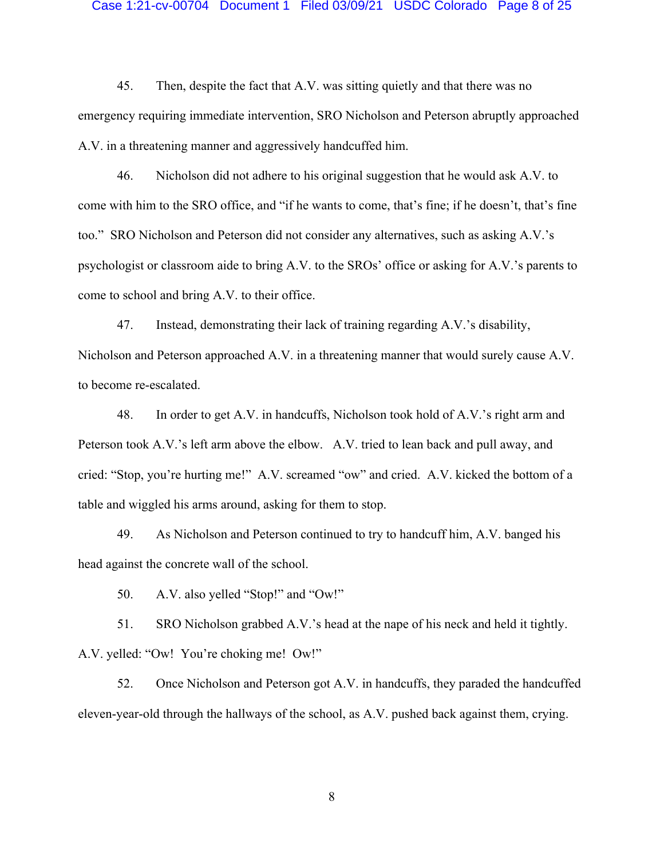#### Case 1:21-cv-00704 Document 1 Filed 03/09/21 USDC Colorado Page 8 of 25

45. Then, despite the fact that A.V. was sitting quietly and that there was no emergency requiring immediate intervention, SRO Nicholson and Peterson abruptly approached A.V. in a threatening manner and aggressively handcuffed him.

46. Nicholson did not adhere to his original suggestion that he would ask A.V. to come with him to the SRO office, and "if he wants to come, that's fine; if he doesn't, that's fine too." SRO Nicholson and Peterson did not consider any alternatives, such as asking A.V.'s psychologist or classroom aide to bring A.V. to the SROs' office or asking for A.V.'s parents to come to school and bring A.V. to their office.

47. Instead, demonstrating their lack of training regarding A.V.'s disability, Nicholson and Peterson approached A.V. in a threatening manner that would surely cause A.V. to become re-escalated.

48. In order to get A.V. in handcuffs, Nicholson took hold of A.V.'s right arm and Peterson took A.V.'s left arm above the elbow. A.V. tried to lean back and pull away, and cried: "Stop, you're hurting me!" A.V. screamed "ow" and cried. A.V. kicked the bottom of a table and wiggled his arms around, asking for them to stop.

49. As Nicholson and Peterson continued to try to handcuff him, A.V. banged his head against the concrete wall of the school.

50. A.V. also yelled "Stop!" and "Ow!"

51. SRO Nicholson grabbed A.V.'s head at the nape of his neck and held it tightly. A.V. yelled: "Ow! You're choking me! Ow!"

52. Once Nicholson and Peterson got A.V. in handcuffs, they paraded the handcuffed eleven-year-old through the hallways of the school, as A.V. pushed back against them, crying.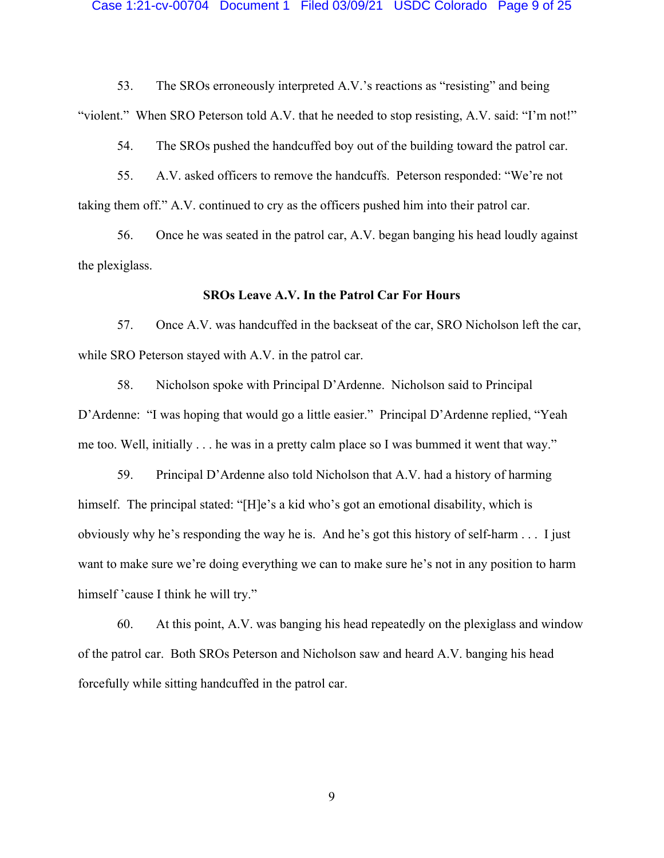#### Case 1:21-cv-00704 Document 1 Filed 03/09/21 USDC Colorado Page 9 of 25

53. The SROs erroneously interpreted A.V.'s reactions as "resisting" and being "violent." When SRO Peterson told A.V. that he needed to stop resisting, A.V. said: "I'm not!"

54. The SROs pushed the handcuffed boy out of the building toward the patrol car.

55. A.V. asked officers to remove the handcuffs. Peterson responded: "We're not taking them off." A.V. continued to cry as the officers pushed him into their patrol car.

56. Once he was seated in the patrol car, A.V. began banging his head loudly against the plexiglass.

### **SROs Leave A.V. In the Patrol Car For Hours**

57. Once A.V. was handcuffed in the backseat of the car, SRO Nicholson left the car, while SRO Peterson stayed with A.V. in the patrol car.

58. Nicholson spoke with Principal D'Ardenne. Nicholson said to Principal D'Ardenne: "I was hoping that would go a little easier." Principal D'Ardenne replied, "Yeah me too. Well, initially . . . he was in a pretty calm place so I was bummed it went that way."

59. Principal D'Ardenne also told Nicholson that A.V. had a history of harming himself. The principal stated: "[H]e's a kid who's got an emotional disability, which is obviously why he's responding the way he is. And he's got this history of self-harm . . . I just want to make sure we're doing everything we can to make sure he's not in any position to harm himself 'cause I think he will try."

60. At this point, A.V. was banging his head repeatedly on the plexiglass and window of the patrol car. Both SROs Peterson and Nicholson saw and heard A.V. banging his head forcefully while sitting handcuffed in the patrol car.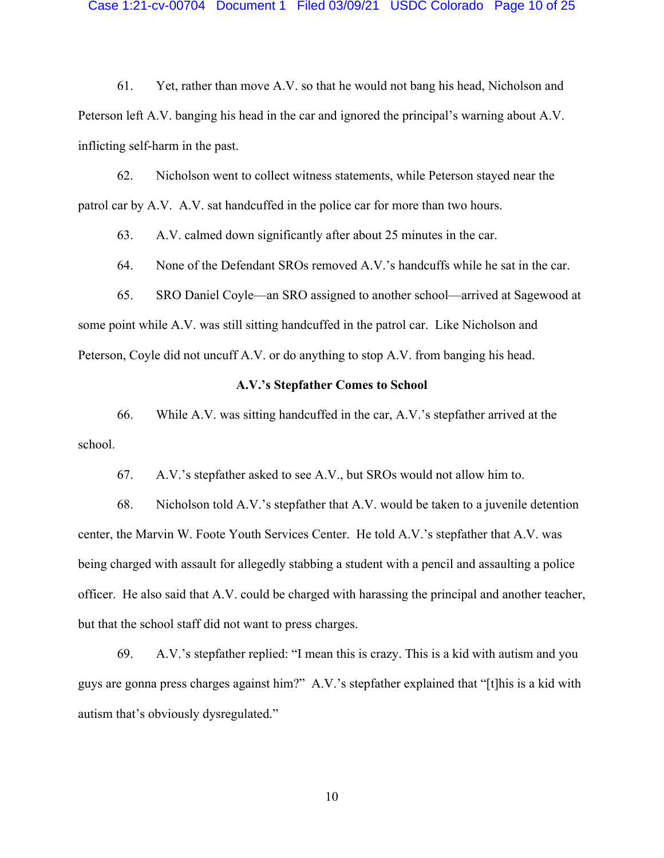61. Yet, rather than move A.V. so that he would not bang his head, Nicholson and Peterson left A.V. banging his head in the car and ignored the principal's warning about A.V. inflicting self-harm in the past.

62. Nicholson went to collect witness statements, while Peterson stayed near the patrol car by A.V. A.V. sat handcuffed in the police car for more than two hours.

63. A.V. calmed down significantly after about 25 minutes in the car.

64. None of the Defendant SROs removed A.V.'s handcuffs while he sat in the car.

65. SRO Daniel Coyle—an SRO assigned to another school—arrived at Sagewood at some point while A.V. was still sitting handcuffed in the patrol car. Like Nicholson and Peterson, Coyle did not uncuff A.V. or do anything to stop A.V. from banging his head.

### **A.V.'s Stepfather Comes to School**

66. While A.V. was sitting handcuffed in the car, A.V.'s stepfather arrived at the school.

67. A.V.'s stepfather asked to see A.V., but SROs would not allow him to.

68. Nicholson told A.V.'s stepfather that A.V. would be taken to a juvenile detention center, the Marvin W. Foote Youth Services Center. He told A.V.'s stepfather that A.V. was being charged with assault for allegedly stabbing a student with a pencil and assaulting a police officer. He also said that A.V. could be charged with harassing the principal and another teacher, but that the school staff did not want to press charges.

69. A.V.'s stepfather replied: "I mean this is crazy. This is a kid with autism and you guys are gonna press charges against him?" A.V.'s stepfather explained that "[t]his is a kid with autism that's obviously dysregulated."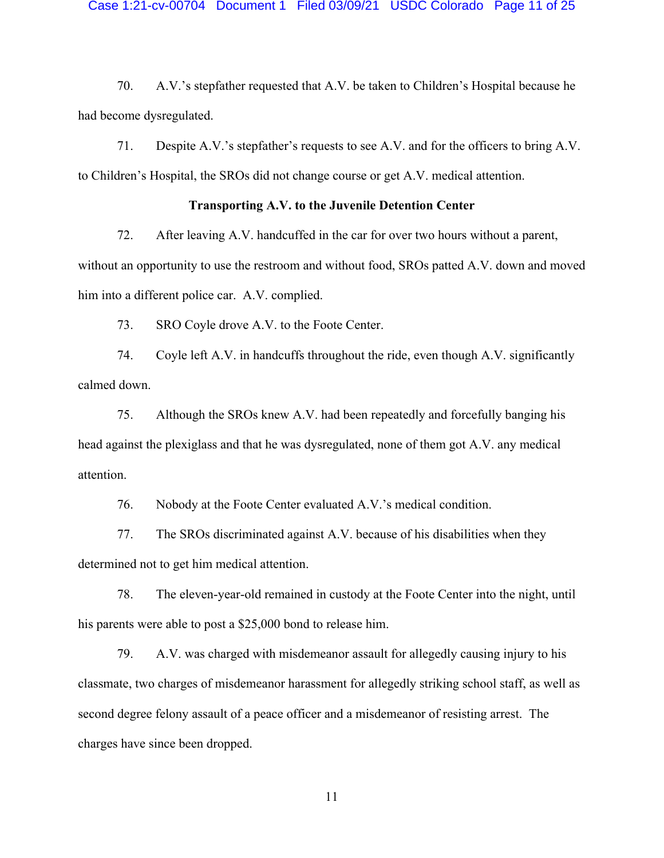#### Case 1:21-cv-00704 Document 1 Filed 03/09/21 USDC Colorado Page 11 of 25

70. A.V.'s stepfather requested that A.V. be taken to Children's Hospital because he had become dysregulated.

71. Despite A.V.'s stepfather's requests to see A.V. and for the officers to bring A.V. to Children's Hospital, the SROs did not change course or get A.V. medical attention.

### **Transporting A.V. to the Juvenile Detention Center**

72. After leaving A.V. handcuffed in the car for over two hours without a parent,

without an opportunity to use the restroom and without food, SROs patted A.V. down and moved him into a different police car. A.V. complied.

73. SRO Coyle drove A.V. to the Foote Center.

74. Coyle left A.V. in handcuffs throughout the ride, even though A.V. significantly calmed down.

75. Although the SROs knew A.V. had been repeatedly and forcefully banging his head against the plexiglass and that he was dysregulated, none of them got A.V. any medical attention.

76. Nobody at the Foote Center evaluated A.V.'s medical condition.

77. The SROs discriminated against A.V. because of his disabilities when they determined not to get him medical attention.

78. The eleven-year-old remained in custody at the Foote Center into the night, until his parents were able to post a \$25,000 bond to release him.

79. A.V. was charged with misdemeanor assault for allegedly causing injury to his classmate, two charges of misdemeanor harassment for allegedly striking school staff, as well as second degree felony assault of a peace officer and a misdemeanor of resisting arrest. The charges have since been dropped.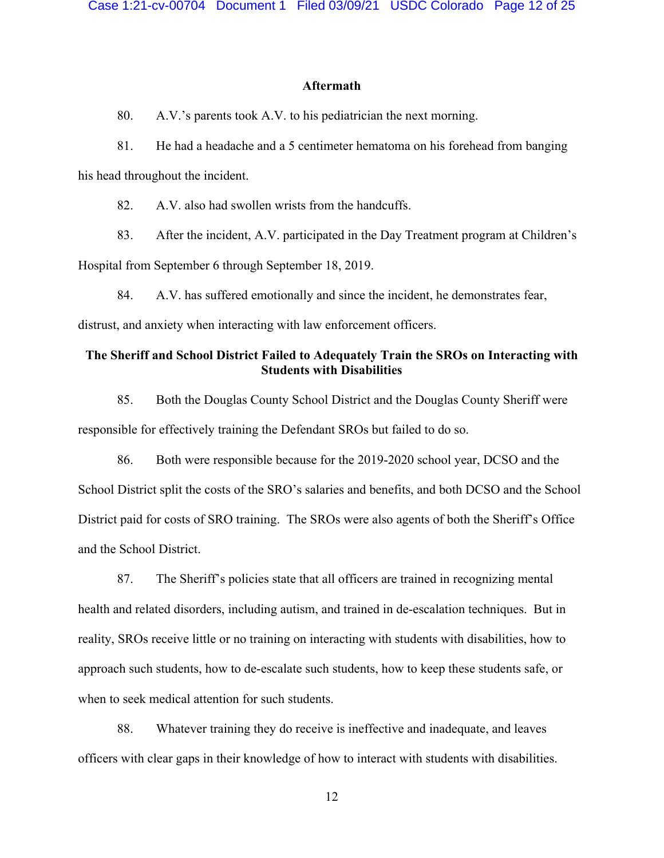### **Aftermath**

80. A.V.'s parents took A.V. to his pediatrician the next morning.

81. He had a headache and a 5 centimeter hematoma on his forehead from banging his head throughout the incident.

82. A.V. also had swollen wrists from the handcuffs.

83. After the incident, A.V. participated in the Day Treatment program at Children's Hospital from September 6 through September 18, 2019.

84. A.V. has suffered emotionally and since the incident, he demonstrates fear,

distrust, and anxiety when interacting with law enforcement officers.

# **The Sheriff and School District Failed to Adequately Train the SROs on Interacting with Students with Disabilities**

85. Both the Douglas County School District and the Douglas County Sheriff were responsible for effectively training the Defendant SROs but failed to do so.

86. Both were responsible because for the 2019-2020 school year, DCSO and the School District split the costs of the SRO's salaries and benefits, and both DCSO and the School District paid for costs of SRO training. The SROs were also agents of both the Sheriff's Office and the School District.

87. The Sheriff's policies state that all officers are trained in recognizing mental health and related disorders, including autism, and trained in de-escalation techniques. But in reality, SROs receive little or no training on interacting with students with disabilities, how to approach such students, how to de-escalate such students, how to keep these students safe, or when to seek medical attention for such students.

88. Whatever training they do receive is ineffective and inadequate, and leaves officers with clear gaps in their knowledge of how to interact with students with disabilities.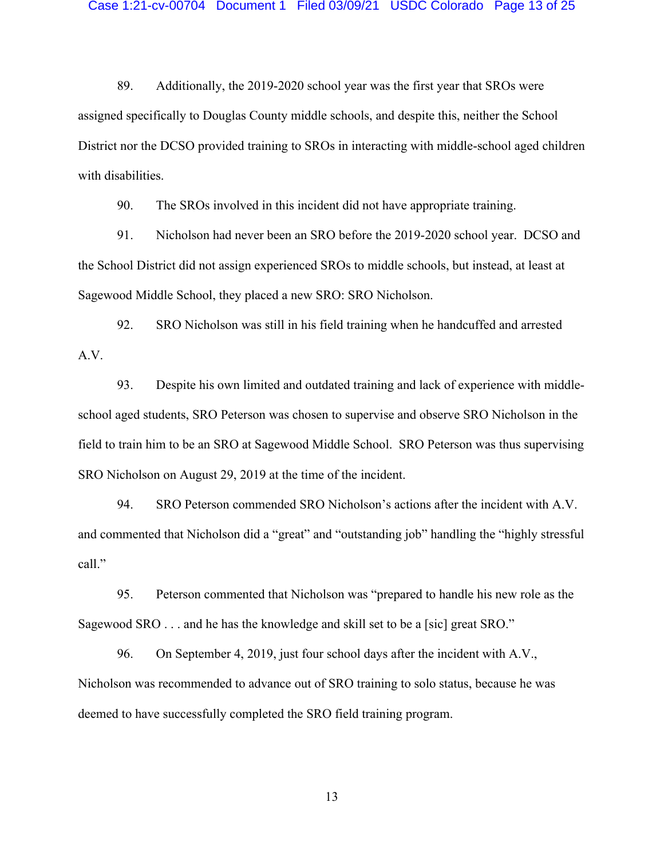89. Additionally, the 2019-2020 school year was the first year that SROs were assigned specifically to Douglas County middle schools, and despite this, neither the School District nor the DCSO provided training to SROs in interacting with middle-school aged children with disabilities.

90. The SROs involved in this incident did not have appropriate training.

91. Nicholson had never been an SRO before the 2019-2020 school year. DCSO and the School District did not assign experienced SROs to middle schools, but instead, at least at Sagewood Middle School, they placed a new SRO: SRO Nicholson.

92. SRO Nicholson was still in his field training when he handcuffed and arrested A.V.

93. Despite his own limited and outdated training and lack of experience with middleschool aged students, SRO Peterson was chosen to supervise and observe SRO Nicholson in the field to train him to be an SRO at Sagewood Middle School. SRO Peterson was thus supervising SRO Nicholson on August 29, 2019 at the time of the incident.

94. SRO Peterson commended SRO Nicholson's actions after the incident with A.V. and commented that Nicholson did a "great" and "outstanding job" handling the "highly stressful call."

95. Peterson commented that Nicholson was "prepared to handle his new role as the Sagewood SRO . . . and he has the knowledge and skill set to be a [sic] great SRO."

96. On September 4, 2019, just four school days after the incident with A.V., Nicholson was recommended to advance out of SRO training to solo status, because he was deemed to have successfully completed the SRO field training program.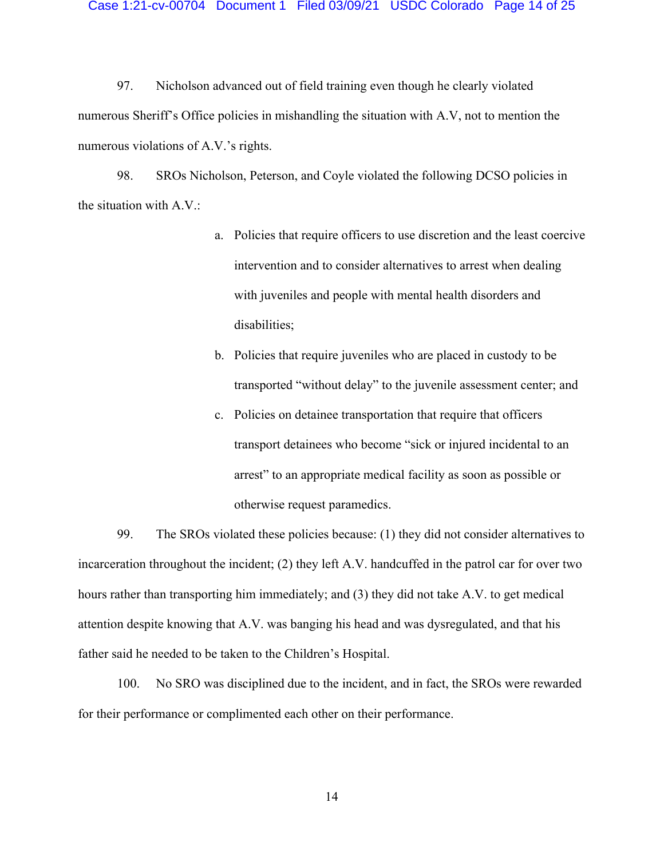#### Case 1:21-cv-00704 Document 1 Filed 03/09/21 USDC Colorado Page 14 of 25

97. Nicholson advanced out of field training even though he clearly violated numerous Sheriff's Office policies in mishandling the situation with A.V, not to mention the numerous violations of A.V.'s rights.

98. SROs Nicholson, Peterson, and Coyle violated the following DCSO policies in the situation with A.V.:

- a. Policies that require officers to use discretion and the least coercive intervention and to consider alternatives to arrest when dealing with juveniles and people with mental health disorders and disabilities;
- b. Policies that require juveniles who are placed in custody to be transported "without delay" to the juvenile assessment center; and
- c. Policies on detainee transportation that require that officers transport detainees who become "sick or injured incidental to an arrest" to an appropriate medical facility as soon as possible or otherwise request paramedics.

99. The SROs violated these policies because: (1) they did not consider alternatives to incarceration throughout the incident; (2) they left A.V. handcuffed in the patrol car for over two hours rather than transporting him immediately; and (3) they did not take A.V. to get medical attention despite knowing that A.V. was banging his head and was dysregulated, and that his father said he needed to be taken to the Children's Hospital.

100. No SRO was disciplined due to the incident, and in fact, the SROs were rewarded for their performance or complimented each other on their performance.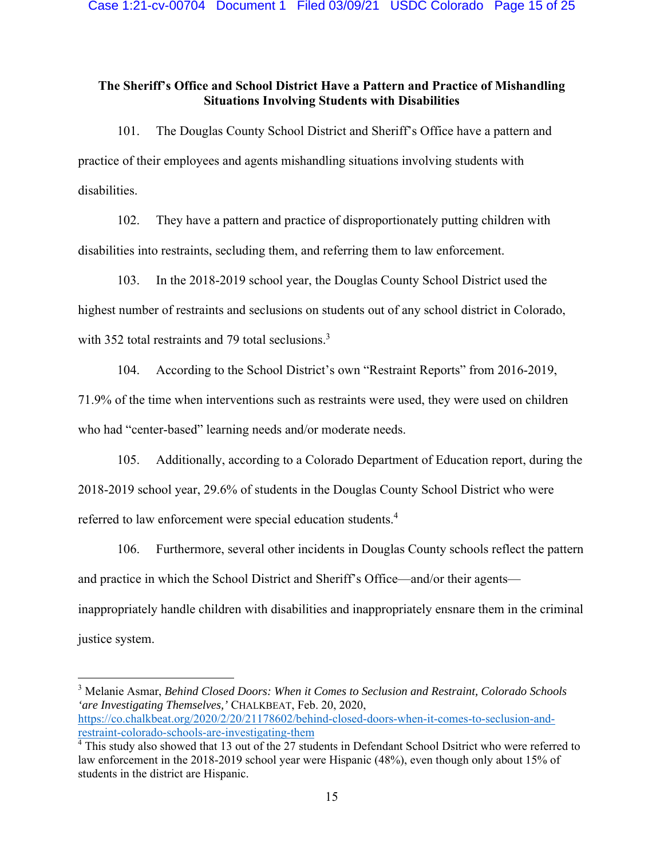# **The Sheriff's Office and School District Have a Pattern and Practice of Mishandling Situations Involving Students with Disabilities**

101. The Douglas County School District and Sheriff's Office have a pattern and practice of their employees and agents mishandling situations involving students with disabilities.

102. They have a pattern and practice of disproportionately putting children with disabilities into restraints, secluding them, and referring them to law enforcement.

103. In the 2018-2019 school year, the Douglas County School District used the highest number of restraints and seclusions on students out of any school district in Colorado, with 352 total restraints and 79 total seclusions.<sup>3</sup>

104. According to the School District's own "Restraint Reports" from 2016-2019,

71.9% of the time when interventions such as restraints were used, they were used on children

who had "center-based" learning needs and/or moderate needs.

105. Additionally, according to a Colorado Department of Education report, during the 2018-2019 school year, 29.6% of students in the Douglas County School District who were referred to law enforcement were special education students.<sup>4</sup>

106. Furthermore, several other incidents in Douglas County schools reflect the pattern and practice in which the School District and Sheriff's Office—and/or their agents inappropriately handle children with disabilities and inappropriately ensnare them in the criminal justice system.

3 Melanie Asmar, *Behind Closed Doors: When it Comes to Seclusion and Restraint, Colorado Schools 'are Investigating Themselves,'* CHALKBEAT, Feb. 20, 2020, https://co.chalkbeat.org/2020/2/20/21178602/behind-closed-doors-when-it-comes-to-seclusion-andrestraint-colorado-schools-are-investigating-them

<sup>&</sup>lt;sup>4</sup> This study also showed that 13 out of the 27 students in Defendant School Dsitrict who were referred to law enforcement in the 2018-2019 school year were Hispanic (48%), even though only about 15% of students in the district are Hispanic.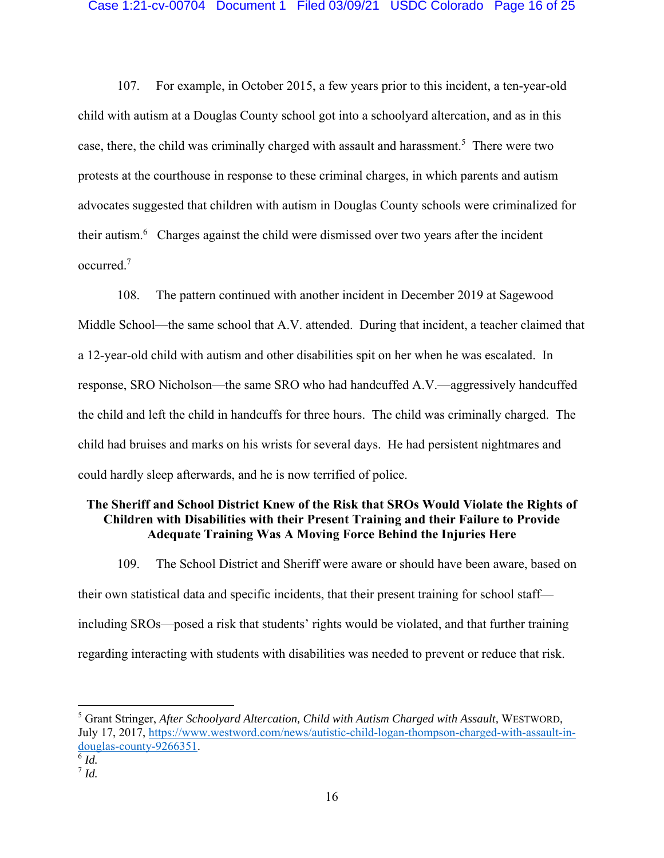107. For example, in October 2015, a few years prior to this incident, a ten-year-old child with autism at a Douglas County school got into a schoolyard altercation, and as in this case, there, the child was criminally charged with assault and harassment.<sup>5</sup> There were two protests at the courthouse in response to these criminal charges, in which parents and autism advocates suggested that children with autism in Douglas County schools were criminalized for their autism.<sup>6</sup> Charges against the child were dismissed over two years after the incident occurred.7

108. The pattern continued with another incident in December 2019 at Sagewood Middle School—the same school that A.V. attended. During that incident, a teacher claimed that a 12-year-old child with autism and other disabilities spit on her when he was escalated. In response, SRO Nicholson—the same SRO who had handcuffed A.V.—aggressively handcuffed the child and left the child in handcuffs for three hours. The child was criminally charged. The child had bruises and marks on his wrists for several days. He had persistent nightmares and could hardly sleep afterwards, and he is now terrified of police.

# **The Sheriff and School District Knew of the Risk that SROs Would Violate the Rights of Children with Disabilities with their Present Training and their Failure to Provide Adequate Training Was A Moving Force Behind the Injuries Here**

109. The School District and Sheriff were aware or should have been aware, based on their own statistical data and specific incidents, that their present training for school staff including SROs—posed a risk that students' rights would be violated, and that further training regarding interacting with students with disabilities was needed to prevent or reduce that risk.

<sup>5</sup> Grant Stringer, *After Schoolyard Altercation, Child with Autism Charged with Assault, WESTWORD,* July 17, 2017, https://www.westword.com/news/autistic-child-logan-thompson-charged-with-assault-indouglas-county-9266351. 6 *Id.*<sup>7</sup> *Id.*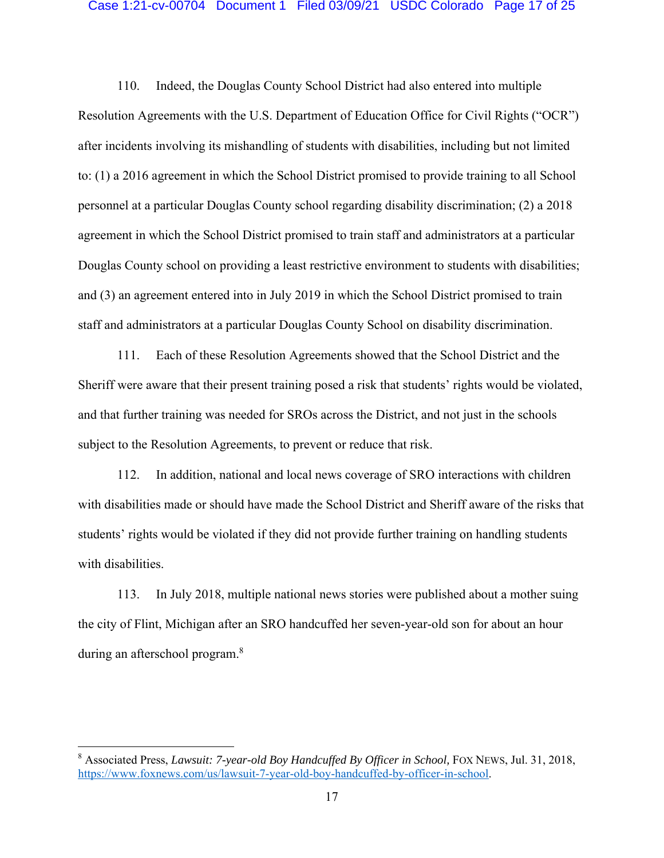### Case 1:21-cv-00704 Document 1 Filed 03/09/21 USDC Colorado Page 17 of 25

110. Indeed, the Douglas County School District had also entered into multiple Resolution Agreements with the U.S. Department of Education Office for Civil Rights ("OCR") after incidents involving its mishandling of students with disabilities, including but not limited to: (1) a 2016 agreement in which the School District promised to provide training to all School personnel at a particular Douglas County school regarding disability discrimination; (2) a 2018 agreement in which the School District promised to train staff and administrators at a particular Douglas County school on providing a least restrictive environment to students with disabilities; and (3) an agreement entered into in July 2019 in which the School District promised to train staff and administrators at a particular Douglas County School on disability discrimination.

111. Each of these Resolution Agreements showed that the School District and the Sheriff were aware that their present training posed a risk that students' rights would be violated, and that further training was needed for SROs across the District, and not just in the schools subject to the Resolution Agreements, to prevent or reduce that risk.

112. In addition, national and local news coverage of SRO interactions with children with disabilities made or should have made the School District and Sheriff aware of the risks that students' rights would be violated if they did not provide further training on handling students with disabilities.

113. In July 2018, multiple national news stories were published about a mother suing the city of Flint, Michigan after an SRO handcuffed her seven-year-old son for about an hour during an afterschool program.<sup>8</sup>

<sup>&</sup>lt;sup>8</sup> Associated Press, *Lawsuit: 7-year-old Boy Handcuffed By Officer in School*, FOX NEWS, Jul. 31, 2018, https://www.foxnews.com/us/lawsuit-7-year-old-boy-handcuffed-by-officer-in-school.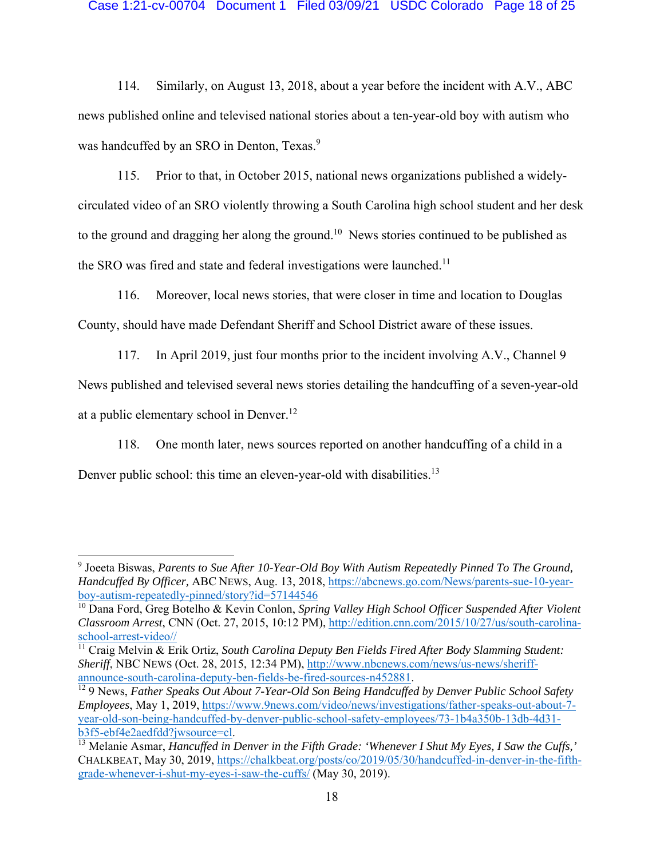### Case 1:21-cv-00704 Document 1 Filed 03/09/21 USDC Colorado Page 18 of 25

114. Similarly, on August 13, 2018, about a year before the incident with A.V., ABC news published online and televised national stories about a ten-year-old boy with autism who was handcuffed by an SRO in Denton, Texas.<sup>9</sup>

115. Prior to that, in October 2015, national news organizations published a widelycirculated video of an SRO violently throwing a South Carolina high school student and her desk to the ground and dragging her along the ground.10 News stories continued to be published as the SRO was fired and state and federal investigations were launched.<sup>11</sup>

116. Moreover, local news stories, that were closer in time and location to Douglas County, should have made Defendant Sheriff and School District aware of these issues.

117. In April 2019, just four months prior to the incident involving A.V., Channel 9 News published and televised several news stories detailing the handcuffing of a seven-year-old at a public elementary school in Denver.<sup>12</sup>

118. One month later, news sources reported on another handcuffing of a child in a Denver public school: this time an eleven-year-old with disabilities.<sup>13</sup>

<sup>9</sup> Joeeta Biswas, *Parents to Sue After 10-Year-Old Boy With Autism Repeatedly Pinned To The Ground, Handcuffed By Officer,* ABC NEWS, Aug. 13, 2018, https://abcnews.go.com/News/parents-sue-10-yearboy-autism-repeatedly-pinned/story?id=57144546

<sup>10</sup> Dana Ford, Greg Botelho & Kevin Conlon, *Spring Valley High School Officer Suspended After Violent Classroom Arrest*, CNN (Oct. 27, 2015, 10:12 PM), http://edition.cnn.com/2015/10/27/us/south-carolina-

 $\frac{11}{11}$  Craig Melvin & Erik Ortiz, *South Carolina Deputy Ben Fields Fired After Body Slamming Student: Sheriff*, NBC NEWS (Oct. 28, 2015, 12:34 PM), http://www.nbcnews.com/news/us-news/sheriffannounce-south-carolina-deputy-ben-fields-be-fired-sources-n452881. 12 9 News, *Father Speaks Out About 7-Year-Old Son Being Handcuffed by Denver Public School Safety* 

*Employees*, May 1, 2019, https://www.9news.com/video/news/investigations/father-speaks-out-about-7 year-old-son-being-handcuffed-by-denver-public-school-safety-employees/73-1b4a350b-13db-4d31 b3f5-ebf4e2aedfdd?jwsource=cl.<br><sup>13</sup> Melanie Asmar, *Hancuffed in Denver in the Fifth Grade: 'Whenever I Shut My Eyes, I Saw the Cuffs,'* 

CHALKBEAT, May 30, 2019, https://chalkbeat.org/posts/co/2019/05/30/handcuffed-in-denver-in-the-fifthgrade-whenever-i-shut-my-eyes-i-saw-the-cuffs/ (May 30, 2019).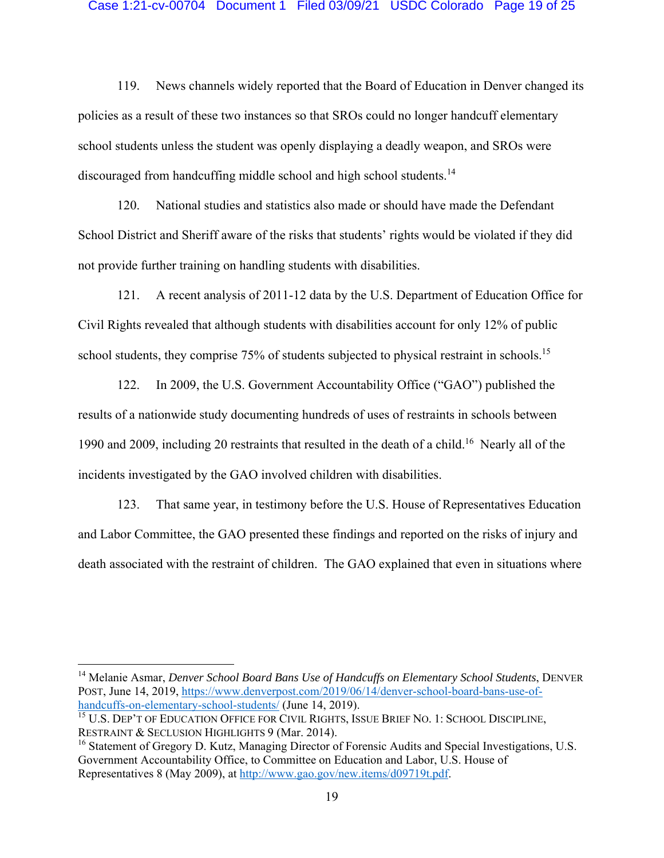#### Case 1:21-cv-00704 Document 1 Filed 03/09/21 USDC Colorado Page 19 of 25

119. News channels widely reported that the Board of Education in Denver changed its policies as a result of these two instances so that SROs could no longer handcuff elementary school students unless the student was openly displaying a deadly weapon, and SROs were discouraged from handcuffing middle school and high school students.<sup>14</sup>

120. National studies and statistics also made or should have made the Defendant School District and Sheriff aware of the risks that students' rights would be violated if they did not provide further training on handling students with disabilities.

121. A recent analysis of 2011-12 data by the U.S. Department of Education Office for Civil Rights revealed that although students with disabilities account for only 12% of public school students, they comprise 75% of students subjected to physical restraint in schools.<sup>15</sup>

122. In 2009, the U.S. Government Accountability Office ("GAO") published the results of a nationwide study documenting hundreds of uses of restraints in schools between 1990 and 2009, including 20 restraints that resulted in the death of a child.16 Nearly all of the incidents investigated by the GAO involved children with disabilities.

123. That same year, in testimony before the U.S. House of Representatives Education and Labor Committee, the GAO presented these findings and reported on the risks of injury and death associated with the restraint of children. The GAO explained that even in situations where

14 Melanie Asmar, *Denver School Board Bans Use of Handcuffs on Elementary School Students*, DENVER POST, June 14, 2019, https://www.denverpost.com/2019/06/14/denver-school-board-bans-use-ofhandcuffs-on-elementary-school-students/ (June 14, 2019).

<sup>&</sup>lt;sup>15</sup> U.S. DEP'T OF EDUCATION OFFICE FOR CIVIL RIGHTS, ISSUE BRIEF NO. 1: SCHOOL DISCIPLINE, RESTRAINT & SECLUSION HIGHLIGHTS 9 (Mar. 2014).

<sup>&</sup>lt;sup>16</sup> Statement of Gregory D. Kutz, Managing Director of Forensic Audits and Special Investigations, U.S. Government Accountability Office, to Committee on Education and Labor, U.S. House of Representatives 8 (May 2009), at http://www.gao.gov/new.items/d09719t.pdf.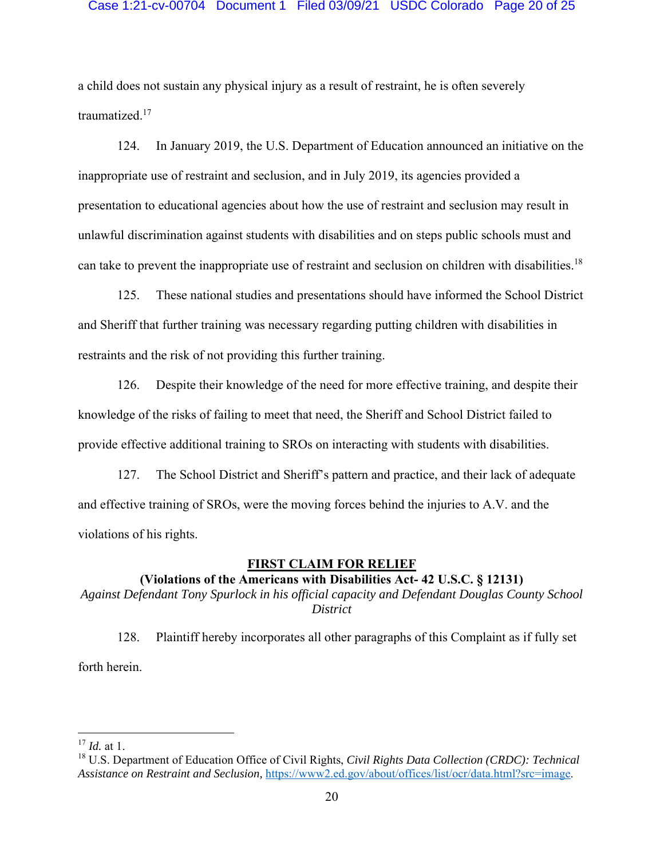### Case 1:21-cv-00704 Document 1 Filed 03/09/21 USDC Colorado Page 20 of 25

a child does not sustain any physical injury as a result of restraint, he is often severely traumatized.17

124. In January 2019, the U.S. Department of Education announced an initiative on the inappropriate use of restraint and seclusion, and in July 2019, its agencies provided a presentation to educational agencies about how the use of restraint and seclusion may result in unlawful discrimination against students with disabilities and on steps public schools must and can take to prevent the inappropriate use of restraint and seclusion on children with disabilities.18

125. These national studies and presentations should have informed the School District and Sheriff that further training was necessary regarding putting children with disabilities in restraints and the risk of not providing this further training.

126. Despite their knowledge of the need for more effective training, and despite their knowledge of the risks of failing to meet that need, the Sheriff and School District failed to provide effective additional training to SROs on interacting with students with disabilities.

127. The School District and Sheriff's pattern and practice, and their lack of adequate and effective training of SROs, were the moving forces behind the injuries to A.V. and the violations of his rights.

### **FIRST CLAIM FOR RELIEF**

**(Violations of the Americans with Disabilities Act- 42 U.S.C. § 12131)** 

*Against Defendant Tony Spurlock in his official capacity and Defendant Douglas County School District* 

128. Plaintiff hereby incorporates all other paragraphs of this Complaint as if fully set forth herein.

<sup>17</sup> *Id.* at 1.

<sup>18</sup> U.S. Department of Education Office of Civil Rights, *Civil Rights Data Collection (CRDC): Technical Assistance on Restraint and Seclusion,* https://www2.ed.gov/about/offices/list/ocr/data.html?src=image.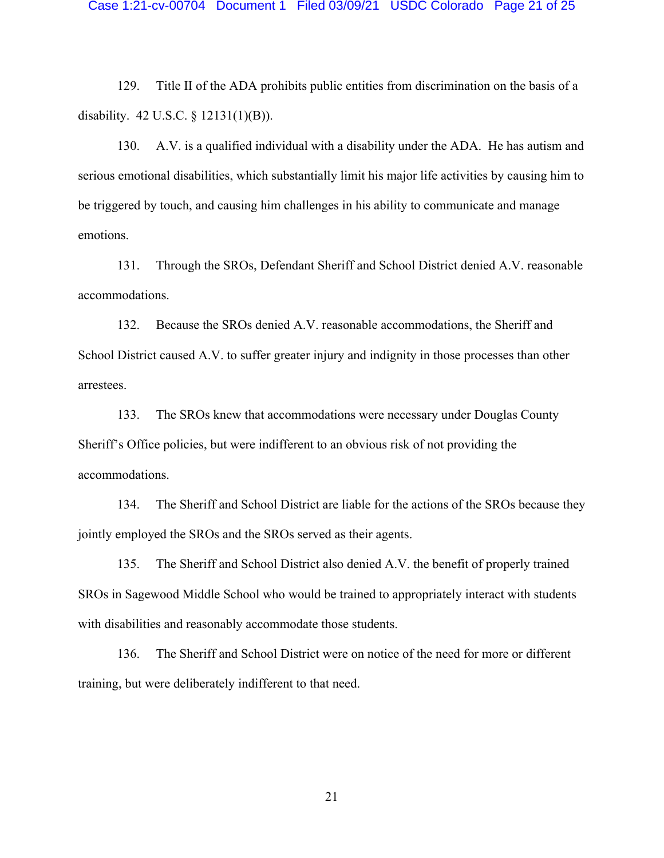#### Case 1:21-cv-00704 Document 1 Filed 03/09/21 USDC Colorado Page 21 of 25

129. Title II of the ADA prohibits public entities from discrimination on the basis of a disability. 42 U.S.C. § 12131(1)(B)).

130. A.V. is a qualified individual with a disability under the ADA. He has autism and serious emotional disabilities, which substantially limit his major life activities by causing him to be triggered by touch, and causing him challenges in his ability to communicate and manage emotions.

131. Through the SROs, Defendant Sheriff and School District denied A.V. reasonable accommodations.

132. Because the SROs denied A.V. reasonable accommodations, the Sheriff and School District caused A.V. to suffer greater injury and indignity in those processes than other arrestees.

133. The SROs knew that accommodations were necessary under Douglas County Sheriff's Office policies, but were indifferent to an obvious risk of not providing the accommodations.

134. The Sheriff and School District are liable for the actions of the SROs because they jointly employed the SROs and the SROs served as their agents.

135. The Sheriff and School District also denied A.V. the benefit of properly trained SROs in Sagewood Middle School who would be trained to appropriately interact with students with disabilities and reasonably accommodate those students.

136. The Sheriff and School District were on notice of the need for more or different training, but were deliberately indifferent to that need.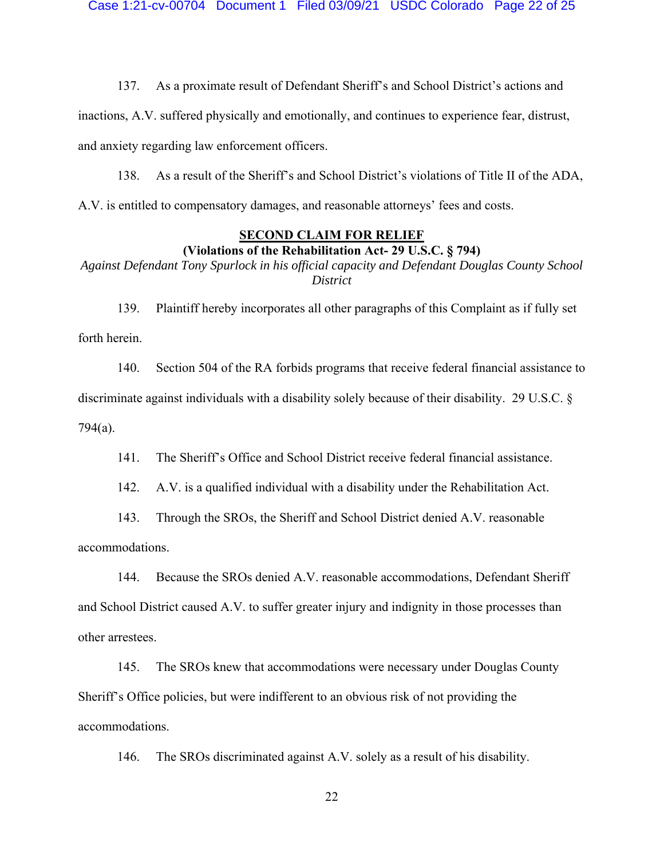137. As a proximate result of Defendant Sheriff's and School District's actions and

inactions, A.V. suffered physically and emotionally, and continues to experience fear, distrust, and anxiety regarding law enforcement officers.

138. As a result of the Sheriff's and School District's violations of Title II of the ADA, A.V. is entitled to compensatory damages, and reasonable attorneys' fees and costs.

### **SECOND CLAIM FOR RELIEF (Violations of the Rehabilitation Act- 29 U.S.C. § 794)**

*Against Defendant Tony Spurlock in his official capacity and Defendant Douglas County School District*

139. Plaintiff hereby incorporates all other paragraphs of this Complaint as if fully set forth herein.

140. Section 504 of the RA forbids programs that receive federal financial assistance to discriminate against individuals with a disability solely because of their disability. 29 U.S.C. § 794(a).

141. The Sheriff's Office and School District receive federal financial assistance.

142. A.V. is a qualified individual with a disability under the Rehabilitation Act.

143. Through the SROs, the Sheriff and School District denied A.V. reasonable accommodations.

144. Because the SROs denied A.V. reasonable accommodations, Defendant Sheriff and School District caused A.V. to suffer greater injury and indignity in those processes than other arrestees.

145. The SROs knew that accommodations were necessary under Douglas County Sheriff's Office policies, but were indifferent to an obvious risk of not providing the accommodations.

146. The SROs discriminated against A.V. solely as a result of his disability.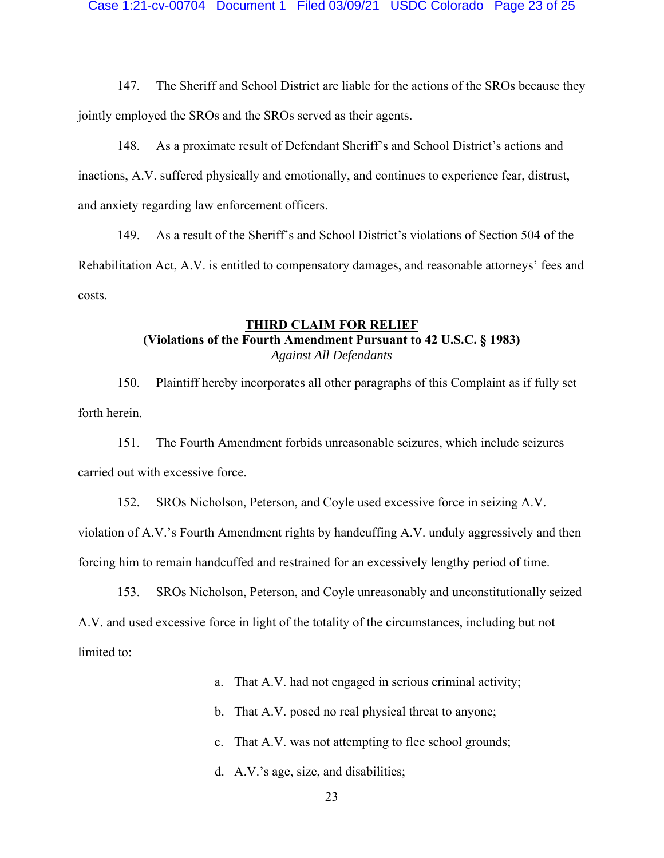147. The Sheriff and School District are liable for the actions of the SROs because they jointly employed the SROs and the SROs served as their agents.

148. As a proximate result of Defendant Sheriff's and School District's actions and inactions, A.V. suffered physically and emotionally, and continues to experience fear, distrust, and anxiety regarding law enforcement officers.

149. As a result of the Sheriff's and School District's violations of Section 504 of the Rehabilitation Act, A.V. is entitled to compensatory damages, and reasonable attorneys' fees and costs.

# **THIRD CLAIM FOR RELIEF**

# **(Violations of the Fourth Amendment Pursuant to 42 U.S.C. § 1983)**

*Against All Defendants* 

150. Plaintiff hereby incorporates all other paragraphs of this Complaint as if fully set forth herein.

151. The Fourth Amendment forbids unreasonable seizures, which include seizures carried out with excessive force.

152. SROs Nicholson, Peterson, and Coyle used excessive force in seizing A.V. violation of A.V.'s Fourth Amendment rights by handcuffing A.V. unduly aggressively and then forcing him to remain handcuffed and restrained for an excessively lengthy period of time.

153. SROs Nicholson, Peterson, and Coyle unreasonably and unconstitutionally seized A.V. and used excessive force in light of the totality of the circumstances, including but not limited to:

- a. That A.V. had not engaged in serious criminal activity;
- b. That A.V. posed no real physical threat to anyone;
- c. That A.V. was not attempting to flee school grounds;
- d. A.V.'s age, size, and disabilities;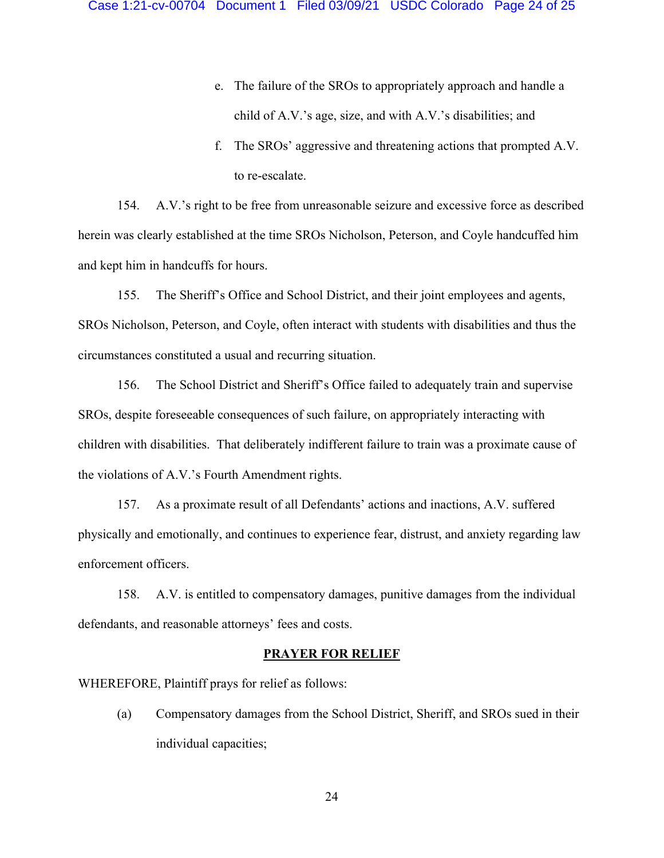- e. The failure of the SROs to appropriately approach and handle a child of A.V.'s age, size, and with A.V.'s disabilities; and
- f. The SROs' aggressive and threatening actions that prompted A.V. to re-escalate.

154. A.V.'s right to be free from unreasonable seizure and excessive force as described herein was clearly established at the time SROs Nicholson, Peterson, and Coyle handcuffed him and kept him in handcuffs for hours.

155. The Sheriff's Office and School District, and their joint employees and agents, SROs Nicholson, Peterson, and Coyle, often interact with students with disabilities and thus the circumstances constituted a usual and recurring situation.

156. The School District and Sheriff's Office failed to adequately train and supervise SROs, despite foreseeable consequences of such failure, on appropriately interacting with children with disabilities. That deliberately indifferent failure to train was a proximate cause of the violations of A.V.'s Fourth Amendment rights.

157. As a proximate result of all Defendants' actions and inactions, A.V. suffered physically and emotionally, and continues to experience fear, distrust, and anxiety regarding law enforcement officers.

158. A.V. is entitled to compensatory damages, punitive damages from the individual defendants, and reasonable attorneys' fees and costs.

### **PRAYER FOR RELIEF**

WHEREFORE, Plaintiff prays for relief as follows:

(a) Compensatory damages from the School District, Sheriff, and SROs sued in their individual capacities;